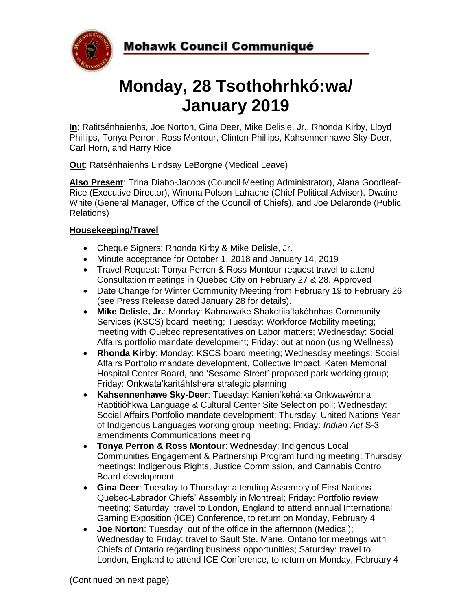

# **Monday, 28 Tsothohrhkó:wa/ January 2019**

**In**: Ratitsénhaienhs, Joe Norton, Gina Deer, Mike Delisle, Jr., Rhonda Kirby, Lloyd Phillips, Tonya Perron, Ross Montour, Clinton Phillips, Kahsennenhawe Sky-Deer, Carl Horn, and Harry Rice

**Out**: Ratsénhaienhs Lindsay LeBorgne (Medical Leave)

**Also Present**: Trina Diabo-Jacobs (Council Meeting Administrator), Alana Goodleaf-Rice (Executive Director), Winona Polson-Lahache (Chief Political Advisor), Dwaine White (General Manager, Office of the Council of Chiefs), and Joe Delaronde (Public Relations)

# **Housekeeping/Travel**

- Cheque Signers: Rhonda Kirby & Mike Delisle, Jr.
- Minute acceptance for October 1, 2018 and January 14, 2019
- Travel Request: Tonya Perron & Ross Montour request travel to attend Consultation meetings in Quebec City on February 27 & 28. Approved
- Date Change for Winter Community Meeting from February 19 to February 26 (see Press Release dated January 28 for details).
- **Mike Delisle, Jr.**: Monday: Kahnawake Shakotiia'takéhnhas Community Services (KSCS) board meeting; Tuesday: Workforce Mobility meeting; meeting with Quebec representatives on Labor matters; Wednesday: Social Affairs portfolio mandate development; Friday: out at noon (using Wellness)
- **Rhonda Kirby**: Monday: KSCS board meeting; Wednesday meetings: Social Affairs Portfolio mandate development, Collective Impact, Kateri Memorial Hospital Center Board, and 'Sesame Street' proposed park working group; Friday: Onkwata'karitáhtshera strategic planning
- **Kahsennenhawe Sky-Deer**: Tuesday: Kanien'kehá:ka Onkwawén:na Raotitióhkwa Language & Cultural Center Site Selection poll; Wednesday: Social Affairs Portfolio mandate development; Thursday: United Nations Year of Indigenous Languages working group meeting; Friday: *Indian Act* S-3 amendments Communications meeting
- **Tonya Perron & Ross Montour**: Wednesday: Indigenous Local Communities Engagement & Partnership Program funding meeting; Thursday meetings: Indigenous Rights, Justice Commission, and Cannabis Control Board development
- **Gina Deer**: Tuesday to Thursday: attending Assembly of First Nations Quebec-Labrador Chiefs' Assembly in Montreal; Friday: Portfolio review meeting; Saturday: travel to London, England to attend annual International Gaming Exposition (ICE) Conference, to return on Monday, February 4
- **Joe Norton**: Tuesday: out of the office in the afternoon (Medical); Wednesday to Friday: travel to Sault Ste. Marie, Ontario for meetings with Chiefs of Ontario regarding business opportunities; Saturday: travel to London, England to attend ICE Conference, to return on Monday, February 4